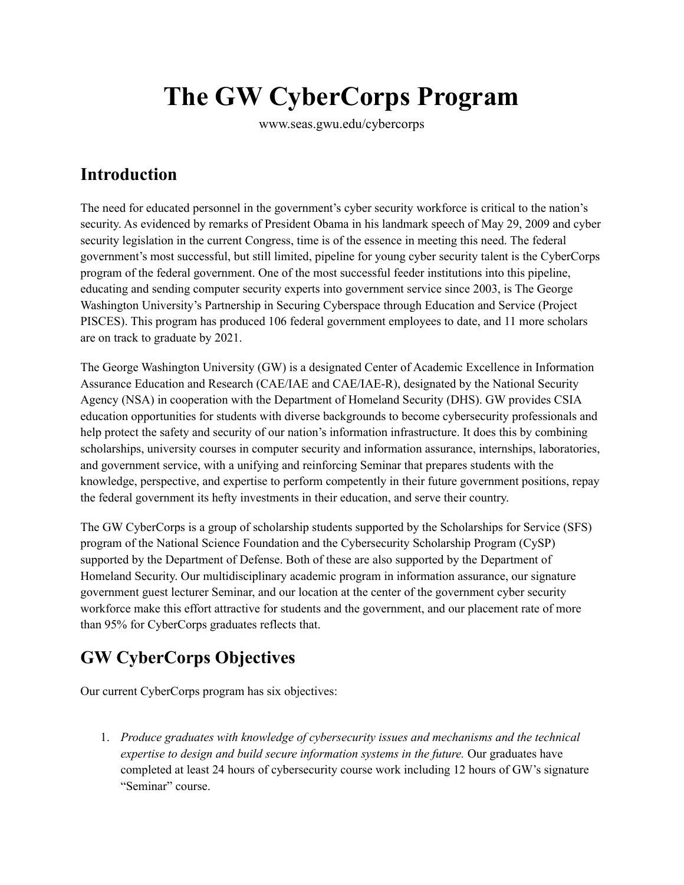# **The GW CyberCorps Program**

www.seas.gwu.edu/cybercorps

# **Introduction**

The need for educated personnel in the government's cyber security workforce is critical to the nation's security. As evidenced by remarks of President Obama in his landmark speech of May 29, 2009 and cyber security legislation in the current Congress, time is of the essence in meeting this need. The federal government's most successful, but still limited, pipeline for young cyber security talent is the CyberCorps program of the federal government. One of the most successful feeder institutions into this pipeline, educating and sending computer security experts into government service since 2003, is The George Washington University's Partnership in Securing Cyberspace through Education and Service (Project PISCES). This program has produced 106 federal government employees to date, and 11 more scholars are on track to graduate by 2021.

The George Washington University (GW) is a designated Center of Academic Excellence in Information Assurance Education and Research (CAE/IAE and CAE/IAE-R), designated by the National Security Agency (NSA) in cooperation with the Department of Homeland Security (DHS). GW provides CSIA education opportunities for students with diverse backgrounds to become cybersecurity professionals and help protect the safety and security of our nation's information infrastructure. It does this by combining scholarships, university courses in computer security and information assurance, internships, laboratories, and government service, with a unifying and reinforcing Seminar that prepares students with the knowledge, perspective, and expertise to perform competently in their future government positions, repay the federal government its hefty investments in their education, and serve their country.

The GW CyberCorps is a group of scholarship students supported by the Scholarships for Service (SFS) program of the National Science Foundation and the Cybersecurity Scholarship Program (CySP) supported by the Department of Defense. Both of these are also supported by the Department of Homeland Security. Our multidisciplinary academic program in information assurance, our signature government guest lecturer Seminar, and our location at the center of the government cyber security workforce make this effort attractive for students and the government, and our placement rate of more than 95% for CyberCorps graduates reflects that.

# **GW CyberCorps Objectives**

Our current CyberCorps program has six objectives:

1. *Produce graduates with knowledge of cybersecurity issues and mechanisms and the technical expertise to design and build secure information systems in the future.* Our graduates have completed at least 24 hours of cybersecurity course work including 12 hours of GW's signature "Seminar" course.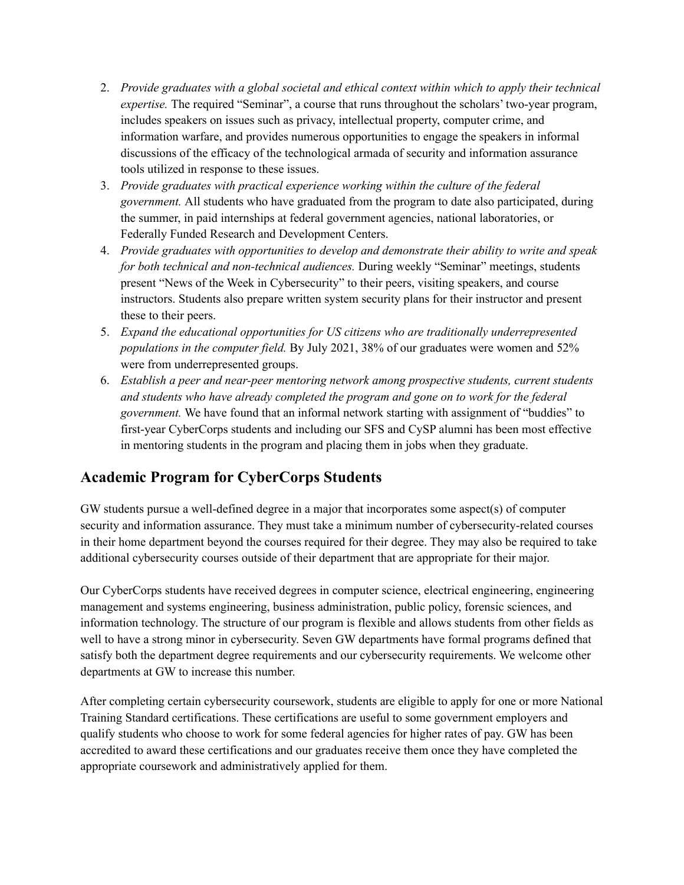- 2. *Provide graduates with a global societal and ethical context within which to apply their technical expertise.* The required "Seminar", a course that runs throughout the scholars' two-year program, includes speakers on issues such as privacy, intellectual property, computer crime, and information warfare, and provides numerous opportunities to engage the speakers in informal discussions of the efficacy of the technological armada of security and information assurance tools utilized in response to these issues.
- 3. *Provide graduates with practical experience working within the culture of the federal government.* All students who have graduated from the program to date also participated, during the summer, in paid internships at federal government agencies, national laboratories, or Federally Funded Research and Development Centers.
- 4. *Provide graduates with opportunities to develop and demonstrate their ability to write and speak for both technical and non-technical audiences.* During weekly "Seminar" meetings, students present "News of the Week in Cybersecurity" to their peers, visiting speakers, and course instructors. Students also prepare written system security plans for their instructor and present these to their peers.
- 5. *Expand the educational opportunities for US citizens who are traditionally underrepresented populations in the computer field.* By July 2021, 38% of our graduates were women and 52% were from underrepresented groups.
- 6. *Establish a peer and near-peer mentoring network among prospective students, current students and students who have already completed the program and gone on to work for the federal government.* We have found that an informal network starting with assignment of "buddies" to first-year CyberCorps students and including our SFS and CySP alumni has been most effective in mentoring students in the program and placing them in jobs when they graduate.

## **Academic Program for CyberCorps Students**

GW students pursue a well-defined degree in a major that incorporates some aspect(s) of computer security and information assurance. They must take a minimum number of cybersecurity-related courses in their home department beyond the courses required for their degree. They may also be required to take additional cybersecurity courses outside of their department that are appropriate for their major.

Our CyberCorps students have received degrees in computer science, electrical engineering, engineering management and systems engineering, business administration, public policy, forensic sciences, and information technology. The structure of our program is flexible and allows students from other fields as well to have a strong minor in cybersecurity. Seven GW departments have formal programs defined that satisfy both the department degree requirements and our cybersecurity requirements. We welcome other departments at GW to increase this number.

After completing certain cybersecurity coursework, students are eligible to apply for one or more National Training Standard certifications. These certifications are useful to some government employers and qualify students who choose to work for some federal agencies for higher rates of pay. GW has been accredited to award these certifications and our graduates receive them once they have completed the appropriate coursework and administratively applied for them.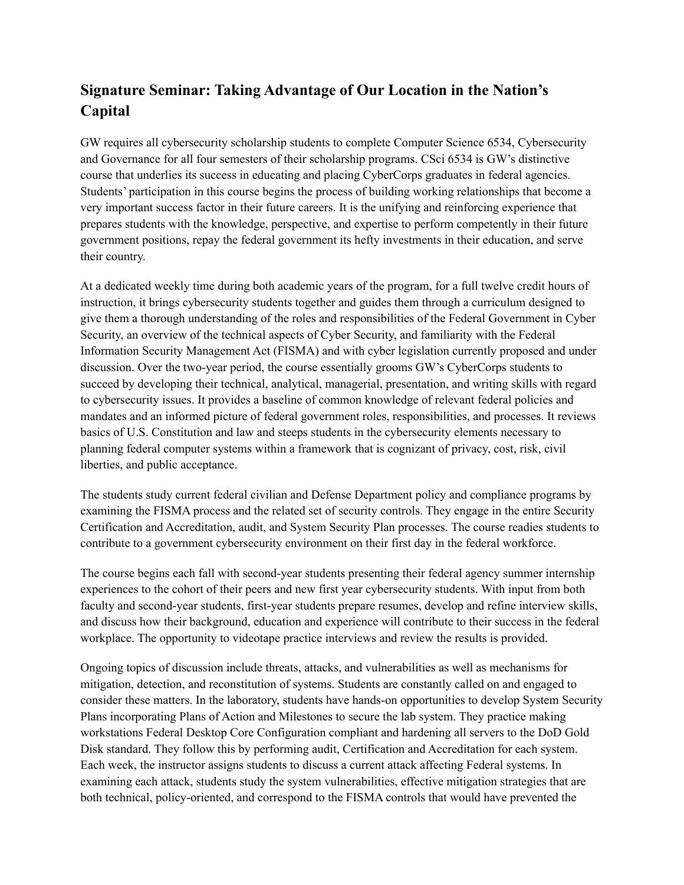# **Signature Seminar: Taking Advantage of Our Location in the Nation's Capital**

GW requires all cybersecurity scholarship students to complete Computer Science 6534, Cybersecurity and Governance for all four semesters of their scholarship programs. CSci 6534 is GW's distinctive course that underlies its success in educating and placing CyberCorps graduates in federal agencies. Students' participation in this course begins the process of building working relationships that become a very important success factor in their future careers. It is the unifying and reinforcing experience that prepares students with the knowledge, perspective, and expertise to perform competently in their future government positions, repay the federal government its hefty investments in their education, and serve their country.

At a dedicated weekly time during both academic years of the program, for a full twelve credit hours of instruction, it brings cybersecurity students together and guides them through a curriculum designed to give them a thorough understanding of the roles and responsibilities of the Federal Government in Cyber Security, an overview of the technical aspects of Cyber Security, and familiarity with the Federal Information Security Management Act (FISMA) and with cyber legislation currently proposed and under discussion. Over the two-year period, the course essentially grooms GW's CyberCorps students to succeed by developing their technical, analytical, managerial, presentation, and writing skills with regard to cybersecurity issues. It provides a baseline of common knowledge of relevant federal policies and mandates and an informed picture of federal government roles, responsibilities, and processes. It reviews basics of U.S. Constitution and law and steeps students in the cybersecurity elements necessary to planning federal computer systems within a framework that is cognizant of privacy, cost, risk, civil liberties, and public acceptance.

The students study current federal civilian and Defense Department policy and compliance programs by examining the FISMA process and the related set of security controls. They engage in the entire Security Certification and Accreditation, audit, and System Security Plan processes. The course readies students to contribute to a government cybersecurity environment on their first day in the federal workforce.

The course begins each fall with second-year students presenting their federal agency summer internship experiences to the cohort of their peers and new first year cybersecurity students. With input from both faculty and second-year students, first-year students prepare resumes, develop and refine interview skills, and discuss how their background, education and experience will contribute to their success in the federal workplace. The opportunity to videotape practice interviews and review the results is provided.

Ongoing topics of discussion include threats, attacks, and vulnerabilities as well as mechanisms for mitigation, detection, and reconstitution of systems. Students are constantly called on and engaged to consider these matters. In the laboratory, students have hands-on opportunities to develop System Security Plans incorporating Plans of Action and Milestones to secure the lab system. They practice making workstations Federal Desktop Core Configuration compliant and hardening all servers to the DoD Gold Disk standard. They follow this by performing audit, Certification and Accreditation for each system. Each week, the instructor assigns students to discuss a current attack affecting Federal systems. In examining each attack, students study the system vulnerabilities, effective mitigation strategies that are both technical, policy-oriented, and correspond to the FISMA controls that would have prevented the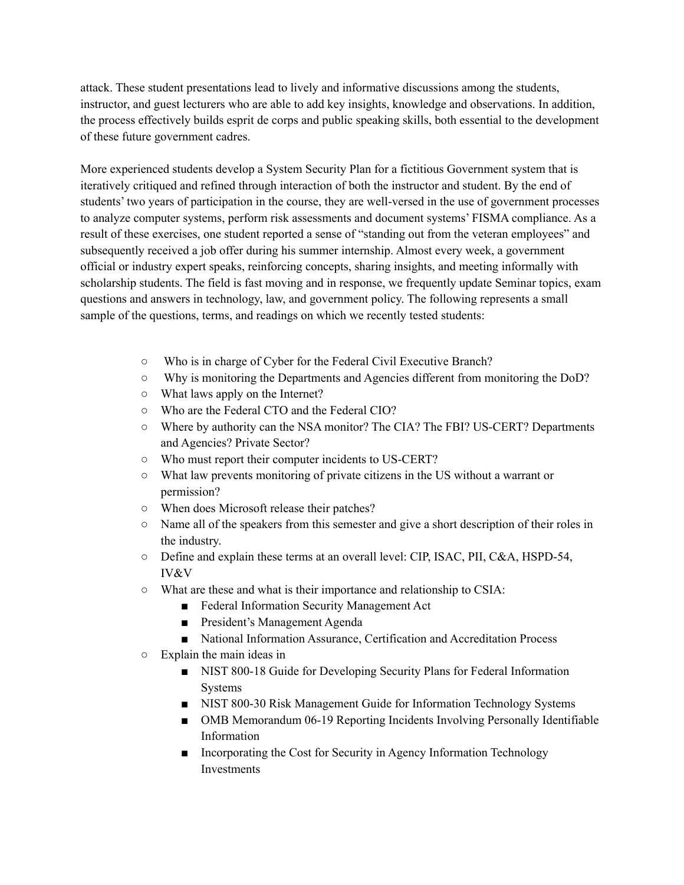attack. These student presentations lead to lively and informative discussions among the students, instructor, and guest lecturers who are able to add key insights, knowledge and observations. In addition, the process effectively builds esprit de corps and public speaking skills, both essential to the development of these future government cadres.

More experienced students develop a System Security Plan for a fictitious Government system that is iteratively critiqued and refined through interaction of both the instructor and student. By the end of students' two years of participation in the course, they are well-versed in the use of government processes to analyze computer systems, perform risk assessments and document systems' FISMA compliance. As a result of these exercises, one student reported a sense of "standing out from the veteran employees" and subsequently received a job offer during his summer internship. Almost every week, a government official or industry expert speaks, reinforcing concepts, sharing insights, and meeting informally with scholarship students. The field is fast moving and in response, we frequently update Seminar topics, exam questions and answers in technology, law, and government policy. The following represents a small sample of the questions, terms, and readings on which we recently tested students:

- Who is in charge of Cyber for the Federal Civil Executive Branch?
- Why is monitoring the Departments and Agencies different from monitoring the DoD?
- What laws apply on the Internet?
- Who are the Federal CTO and the Federal CIO?
- Where by authority can the NSA monitor? The CIA? The FBI? US-CERT? Departments and Agencies? Private Sector?
- Who must report their computer incidents to US-CERT?
- What law prevents monitoring of private citizens in the US without a warrant or permission?
- When does Microsoft release their patches?
- Name all of the speakers from this semester and give a short description of their roles in the industry.
- Define and explain these terms at an overall level: CIP, ISAC, PII, C&A, HSPD-54, IV&V
- What are these and what is their importance and relationship to CSIA:
	- Federal Information Security Management Act
	- President's Management Agenda
	- National Information Assurance, Certification and Accreditation Process
- Explain the main ideas in
	- NIST 800-18 Guide for Developing Security Plans for Federal Information Systems
	- NIST 800-30 Risk Management Guide for Information Technology Systems
	- OMB Memorandum 06-19 Reporting Incidents Involving Personally Identifiable Information
	- Incorporating the Cost for Security in Agency Information Technology **Investments**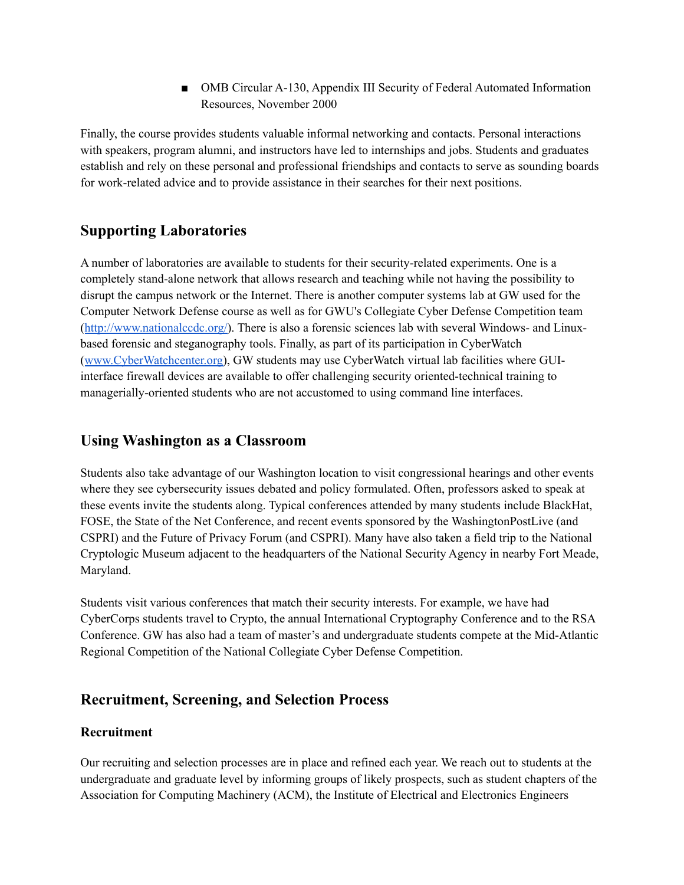■ OMB Circular A-130, Appendix III Security of Federal Automated Information Resources, November 2000

Finally, the course provides students valuable informal networking and contacts. Personal interactions with speakers, program alumni, and instructors have led to internships and jobs. Students and graduates establish and rely on these personal and professional friendships and contacts to serve as sounding boards for work-related advice and to provide assistance in their searches for their next positions.

### **Supporting Laboratories**

A number of laboratories are available to students for their security-related experiments. One is a completely stand-alone network that allows research and teaching while not having the possibility to disrupt the campus network or the Internet. There is another computer systems lab at GW used for the Computer Network Defense course as well as for GWU's Collegiate Cyber Defense Competition team ([http://www.nationalccdc.org/\)](http://www.nationalccdc.org/). There is also a forensic sciences lab with several Windows- and Linuxbased forensic and steganography tools. Finally, as part of its participation in CyberWatch ([www.CyberWatchcenter.org\)](http://www.cyberwatchcenter.org), GW students may use CyberWatch virtual lab facilities where GUIinterface firewall devices are available to offer challenging security oriented-technical training to managerially-oriented students who are not accustomed to using command line interfaces.

#### **Using Washington as a Classroom**

Students also take advantage of our Washington location to visit congressional hearings and other events where they see cybersecurity issues debated and policy formulated. Often, professors asked to speak at these events invite the students along. Typical conferences attended by many students include BlackHat, FOSE, the State of the Net Conference, and recent events sponsored by the WashingtonPostLive (and CSPRI) and the Future of Privacy Forum (and CSPRI). Many have also taken a field trip to the National Cryptologic Museum adjacent to the headquarters of the National Security Agency in nearby Fort Meade, Maryland.

Students visit various conferences that match their security interests. For example, we have had CyberCorps students travel to Crypto, the annual International Cryptography Conference and to the RSA Conference. GW has also had a team of master's and undergraduate students compete at the Mid-Atlantic Regional Competition of the National Collegiate Cyber Defense Competition.

## **Recruitment, Screening, and Selection Process**

#### **Recruitment**

Our recruiting and selection processes are in place and refined each year. We reach out to students at the undergraduate and graduate level by informing groups of likely prospects, such as student chapters of the Association for Computing Machinery (ACM), the Institute of Electrical and Electronics Engineers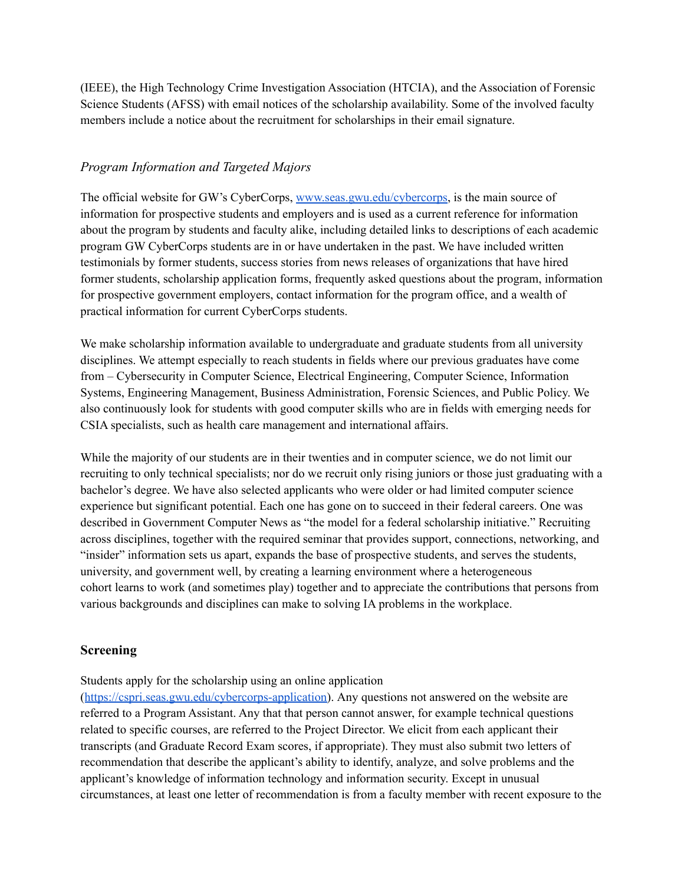(IEEE), the High Technology Crime Investigation Association (HTCIA), and the Association of Forensic Science Students (AFSS) with email notices of the scholarship availability. Some of the involved faculty members include a notice about the recruitment for scholarships in their email signature.

#### *Program Information and Targeted Majors*

The official website for GW's CyberCorps, [www.seas.gwu.edu/cybercorps,](http://www.seas.gwu.edu/cybercorps) is the main source of information for prospective students and employers and is used as a current reference for information about the program by students and faculty alike, including detailed links to descriptions of each academic program GW CyberCorps students are in or have undertaken in the past. We have included written testimonials by former students, success stories from news releases of organizations that have hired former students, scholarship application forms, frequently asked questions about the program, information for prospective government employers, contact information for the program office, and a wealth of practical information for current CyberCorps students.

We make scholarship information available to undergraduate and graduate students from all university disciplines. We attempt especially to reach students in fields where our previous graduates have come from – Cybersecurity in Computer Science, Electrical Engineering, Computer Science, Information Systems, Engineering Management, Business Administration, Forensic Sciences, and Public Policy. We also continuously look for students with good computer skills who are in fields with emerging needs for CSIA specialists, such as health care management and international affairs.

While the majority of our students are in their twenties and in computer science, we do not limit our recruiting to only technical specialists; nor do we recruit only rising juniors or those just graduating with a bachelor's degree. We have also selected applicants who were older or had limited computer science experience but significant potential. Each one has gone on to succeed in their federal careers. One was described in Government Computer News as "the model for a federal scholarship initiative." Recruiting across disciplines, together with the required seminar that provides support, connections, networking, and "insider" information sets us apart, expands the base of prospective students, and serves the students, university, and government well, by creating a learning environment where a heterogeneous cohort learns to work (and sometimes play) together and to appreciate the contributions that persons from various backgrounds and disciplines can make to solving IA problems in the workplace.

#### **Screening**

Students apply for the scholarship using an online application

([https://cspri.seas.gwu.edu/cybercorps-application\)](https://cspri.seas.gwu.edu/cybercorps-application). Any questions not answered on the website are referred to a Program Assistant. Any that that person cannot answer, for example technical questions related to specific courses, are referred to the Project Director. We elicit from each applicant their transcripts (and Graduate Record Exam scores, if appropriate). They must also submit two letters of recommendation that describe the applicant's ability to identify, analyze, and solve problems and the applicant's knowledge of information technology and information security. Except in unusual circumstances, at least one letter of recommendation is from a faculty member with recent exposure to the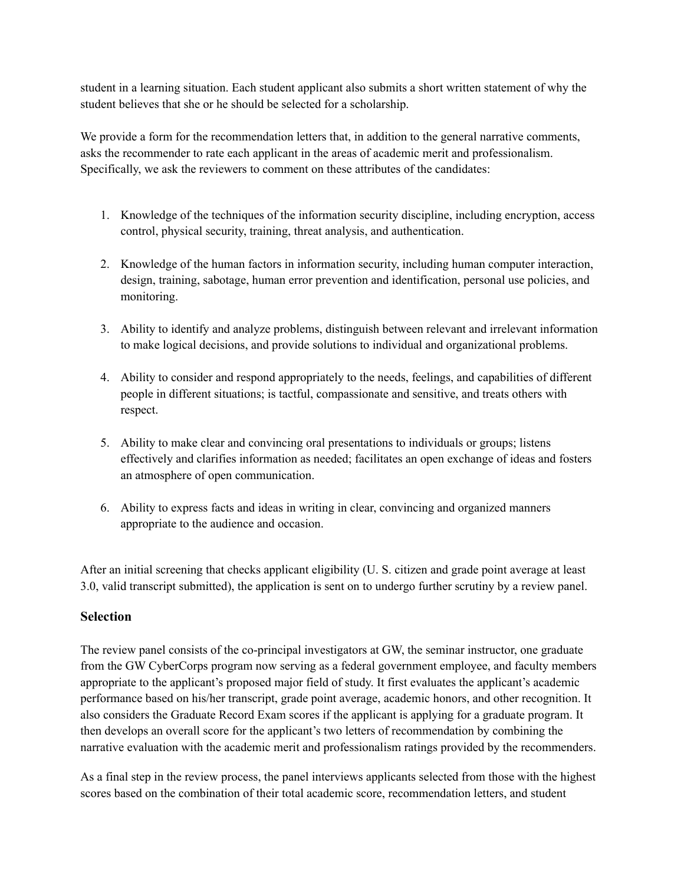student in a learning situation. Each student applicant also submits a short written statement of why the student believes that she or he should be selected for a scholarship.

We provide a form for the recommendation letters that, in addition to the general narrative comments, asks the recommender to rate each applicant in the areas of academic merit and professionalism. Specifically, we ask the reviewers to comment on these attributes of the candidates:

- 1. Knowledge of the techniques of the information security discipline, including encryption, access control, physical security, training, threat analysis, and authentication.
- 2. Knowledge of the human factors in information security, including human computer interaction, design, training, sabotage, human error prevention and identification, personal use policies, and monitoring.
- 3. Ability to identify and analyze problems, distinguish between relevant and irrelevant information to make logical decisions, and provide solutions to individual and organizational problems.
- 4. Ability to consider and respond appropriately to the needs, feelings, and capabilities of different people in different situations; is tactful, compassionate and sensitive, and treats others with respect.
- 5. Ability to make clear and convincing oral presentations to individuals or groups; listens effectively and clarifies information as needed; facilitates an open exchange of ideas and fosters an atmosphere of open communication.
- 6. Ability to express facts and ideas in writing in clear, convincing and organized manners appropriate to the audience and occasion.

After an initial screening that checks applicant eligibility (U. S. citizen and grade point average at least 3.0, valid transcript submitted), the application is sent on to undergo further scrutiny by a review panel.

#### **Selection**

The review panel consists of the co-principal investigators at GW, the seminar instructor, one graduate from the GW CyberCorps program now serving as a federal government employee, and faculty members appropriate to the applicant's proposed major field of study. It first evaluates the applicant's academic performance based on his/her transcript, grade point average, academic honors, and other recognition. It also considers the Graduate Record Exam scores if the applicant is applying for a graduate program. It then develops an overall score for the applicant's two letters of recommendation by combining the narrative evaluation with the academic merit and professionalism ratings provided by the recommenders.

As a final step in the review process, the panel interviews applicants selected from those with the highest scores based on the combination of their total academic score, recommendation letters, and student